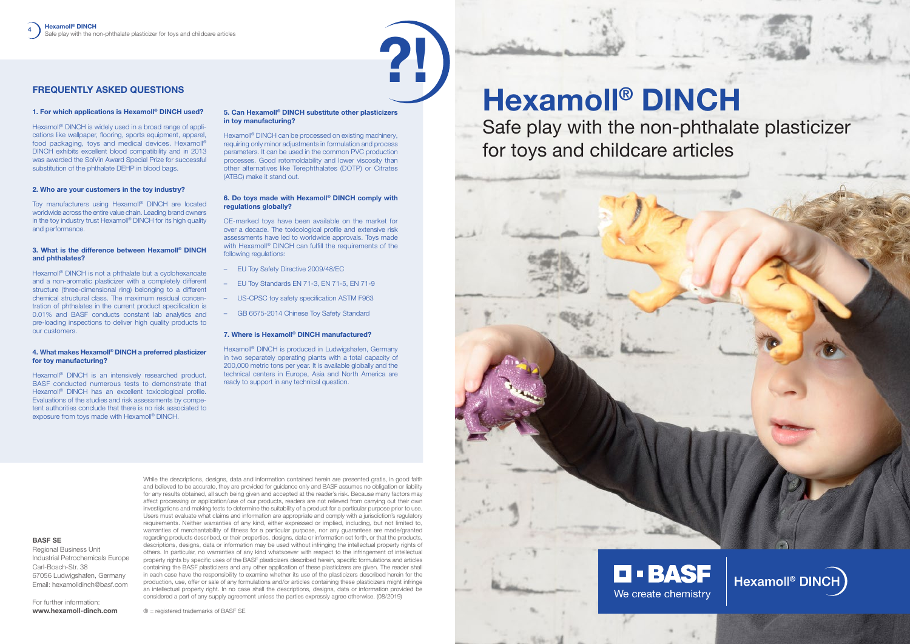# Hexamoll® DINCH Safe play with the non-phthalate plasticizer for toys and childcare articles





?!

# FREQUENTLY ASKED QUESTIONS

## 1. For which applications is Hexamoll® DINCH used?

Hexamoll<sup>®</sup> DINCH is widely used in a broad range of applications like wallpaper, flooring, sports equipment, apparel, food packaging, toys and medical devices. Hexamoll® DINCH exhibits excellent blood compatibility and in 2013 was awarded the SolVin Award Special Prize for successful substitution of the phthalate DEHP in blood bags.

Toy manufacturers using Hexamoll<sup>®</sup> DINCH are located worldwide across the entire value chain. Leading brand owners in the toy industry trust Hexamoll<sup>®</sup> DINCH for its high quality and performance.

## 2. Who are your customers in the toy industry?

Hexamoll<sup>®</sup> DINCH is not a phthalate but a cyclohexanoate and a non-aromatic plasticizer with a completely different structure (three-dimensional ring) belonging to a different chemical structural class. The maximum residual concentration of phthalates in the current product specification is 0.01% and BASF conducts constant lab analytics and pre-loading inspections to deliver high quality products to our customers.

## 3. What is the difference between Hexamoll® DINCH and phthalates?

Hexamoll<sup>®</sup> DINCH can be processed on existing machinery, requiring only minor adjustments in formulation and process parameters. It can be used in the common PVC production processes. Good rotomoldability and lower viscosity than other alternatives like Terephthalates (DOTP) or Citrates (ATBC) make it stand out.

#### 4. What makes Hexamoll® DINCH a preferred plasticizer for toy manufacturing?

Hexamoll<sup>®</sup> DINCH is an intensively researched product. BASF conducted numerous tests to demonstrate that Hexamoll<sup>®</sup> DINCH has an excellent toxicological profile. Evaluations of the studies and risk assessments by competent authorities conclude that there is no risk associated to exposure from toys made with Hexamoll<sup>®</sup> DINCH.

## 5. Can Hexamoll® DINCH substitute other plasticizers in toy manufacturing?

## 6. Do toys made with Hexamoll® DINCH comply with regulations globally?

CE-marked toys have been available on the market for over a decade. The toxicological profile and extensive risk assessments have led to worldwide approvals. Toys made with Hexamoll<sup>®</sup> DINCH can fulfill the requirements of the following regulations:

- EU Toy Safety Directive 2009/48/EC
- EU Toy Standards EN 71-3, EN 71-5, EN 71-9
- US-CPSC toy safety specification ASTM F963
- GB 6675-2014 Chinese Toy Safety Standard

#### 7. Where is Hexamoll® DINCH manufactured?

Hexamoll® DINCH is produced in Ludwigshafen, Germany in two separately operating plants with a total capacity of 200,000 metric tons per year. It is available globally and the technical centers in Europe, Asia and North America are ready to support in any technical question.

While the descriptions, designs, data and information contained herein are presented gratis, in good faith

and believed to be accurate, they are provided for guidance only and BASF assumes no obligation or liability for any results obtained, all such being given and accepted at the reader's risk. Because many factors may affect processing or application/use of our products, readers are not relieved from carrying out their own investigations and making tests to determine the suitability of a product for a particular purpose prior to use. Users must evaluate what claims and information are appropriate and comply with a jurisdiction's regulatory requirements. Neither warranties of any kind, either expressed or implied, including, but not limited to, warranties of merchantability of fitness for a particular purpose, nor any guarantees are made/granted regarding products described, or their properties, designs, data or information set forth, or that the products, descriptions, designs, data or information may be used without infringing the intellectual property rights of others. In particular, no warranties of any kind whatsoever with respect to the infringement of intellectual property rights by specific uses of the BASF plasticizers described herein, specific formulations and articles containing the BASF plasticizers and any other application of these plasticizers are given. The reader shall in each case have the responsibility to examine whether its use of the plasticizers described herein for the production, use, offer or sale of any formulations and/or articles containing these plasticizers might infringe

an intellectual property right. In no case shall the descriptions, designs, data or information provided be considered a part of any supply agreement unless the parties expressly agree otherwise. (08/2019)

® = registered trademarks of BASF SE

**BASF SE**

Regional Business Unit

Industrial Petrochemicals Europe

Carl-Bosch-Str. 38

67056 Ludwigshafen, Germany Email: hexamolldinch@basf.com

For further information: **www.hexamoll-dinch.com**